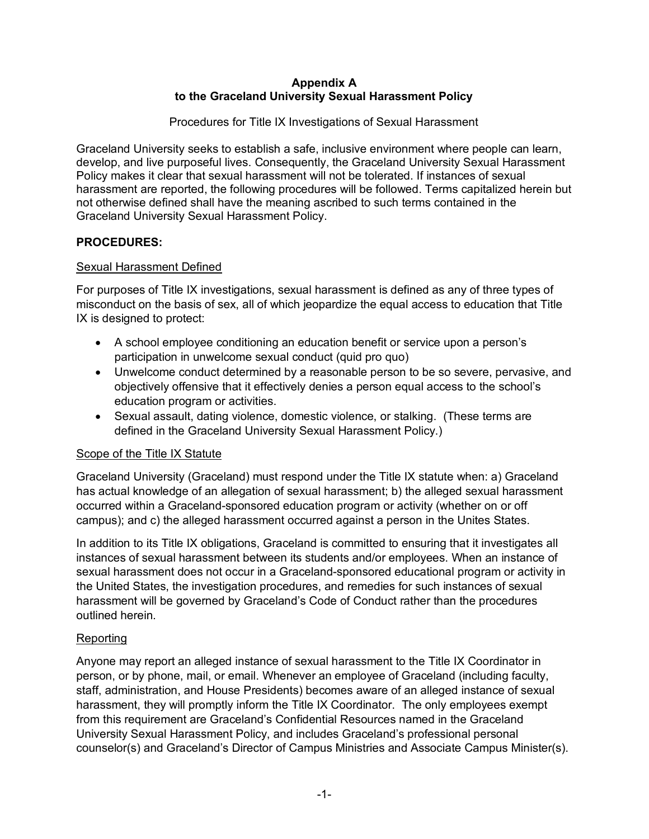#### **Appendix A to the Graceland University Sexual Harassment Policy**

Procedures for Title IX Investigations of Sexual Harassment

Graceland University seeks to establish a safe, inclusive environment where people can learn, develop, and live purposeful lives. Consequently, the Graceland University Sexual Harassment Policy makes it clear that sexual harassment will not be tolerated. If instances of sexual harassment are reported, the following procedures will be followed. Terms capitalized herein but not otherwise defined shall have the meaning ascribed to such terms contained in the Graceland University Sexual Harassment Policy.

## **PROCEDURES:**

## Sexual Harassment Defined

For purposes of Title IX investigations, sexual harassment is defined as any of three types of misconduct on the basis of sex, all of which jeopardize the equal access to education that Title IX is designed to protect:

- A school employee conditioning an education benefit or service upon a person's participation in unwelcome sexual conduct (quid pro quo)
- Unwelcome conduct determined by a reasonable person to be so severe, pervasive, and objectively offensive that it effectively denies a person equal access to the school's education program or activities.
- Sexual assault, dating violence, domestic violence, or stalking. (These terms are defined in the Graceland University Sexual Harassment Policy.)

### Scope of the Title IX Statute

Graceland University (Graceland) must respond under the Title IX statute when: a) Graceland has actual knowledge of an allegation of sexual harassment; b) the alleged sexual harassment occurred within a Graceland-sponsored education program or activity (whether on or off campus); and c) the alleged harassment occurred against a person in the Unites States.

In addition to its Title IX obligations, Graceland is committed to ensuring that it investigates all instances of sexual harassment between its students and/or employees. When an instance of sexual harassment does not occur in a Graceland-sponsored educational program or activity in the United States, the investigation procedures, and remedies for such instances of sexual harassment will be governed by Graceland's Code of Conduct rather than the procedures outlined herein.

### Reporting

Anyone may report an alleged instance of sexual harassment to the Title IX Coordinator in person, or by phone, mail, or email. Whenever an employee of Graceland (including faculty, staff, administration, and House Presidents) becomes aware of an alleged instance of sexual harassment, they will promptly inform the Title IX Coordinator. The only employees exempt from this requirement are Graceland's Confidential Resources named in the Graceland University Sexual Harassment Policy, and includes Graceland's professional personal counselor(s) and Graceland's Director of Campus Ministries and Associate Campus Minister(s).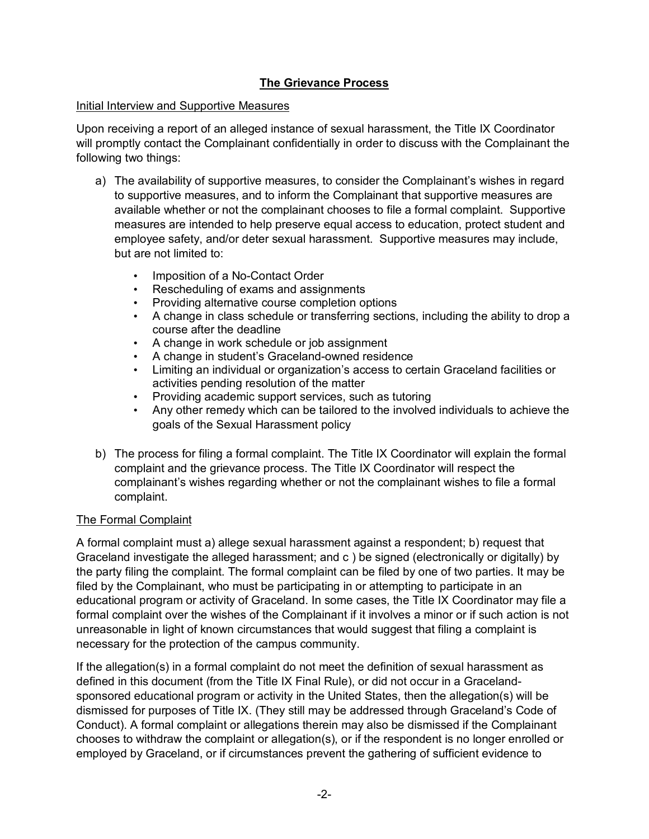### **The Grievance Process**

#### Initial Interview and Supportive Measures

Upon receiving a report of an alleged instance of sexual harassment, the Title IX Coordinator will promptly contact the Complainant confidentially in order to discuss with the Complainant the following two things:

- a) The availability of supportive measures, to consider the Complainant's wishes in regard to supportive measures, and to inform the Complainant that supportive measures are available whether or not the complainant chooses to file a formal complaint. Supportive measures are intended to help preserve equal access to education, protect student and employee safety, and/or deter sexual harassment. Supportive measures may include, but are not limited to:
	- Imposition of a No-Contact Order
	- Rescheduling of exams and assignments
	- Providing alternative course completion options
	- A change in class schedule or transferring sections, including the ability to drop a course after the deadline
	- A change in work schedule or job assignment
	- A change in student's Graceland-owned residence
	- Limiting an individual or organization's access to certain Graceland facilities or activities pending resolution of the matter
	- Providing academic support services, such as tutoring
	- Any other remedy which can be tailored to the involved individuals to achieve the goals of the Sexual Harassment policy
- b) The process for filing a formal complaint. The Title IX Coordinator will explain the formal complaint and the grievance process. The Title IX Coordinator will respect the complainant's wishes regarding whether or not the complainant wishes to file a formal complaint.

# The Formal Complaint

A formal complaint must a) allege sexual harassment against a respondent; b) request that Graceland investigate the alleged harassment; and c ) be signed (electronically or digitally) by the party filing the complaint. The formal complaint can be filed by one of two parties. It may be filed by the Complainant, who must be participating in or attempting to participate in an educational program or activity of Graceland. In some cases, the Title IX Coordinator may file a formal complaint over the wishes of the Complainant if it involves a minor or if such action is not unreasonable in light of known circumstances that would suggest that filing a complaint is necessary for the protection of the campus community.

If the allegation(s) in a formal complaint do not meet the definition of sexual harassment as defined in this document (from the Title IX Final Rule), or did not occur in a Gracelandsponsored educational program or activity in the United States, then the allegation(s) will be dismissed for purposes of Title IX. (They still may be addressed through Graceland's Code of Conduct). A formal complaint or allegations therein may also be dismissed if the Complainant chooses to withdraw the complaint or allegation(s), or if the respondent is no longer enrolled or employed by Graceland, or if circumstances prevent the gathering of sufficient evidence to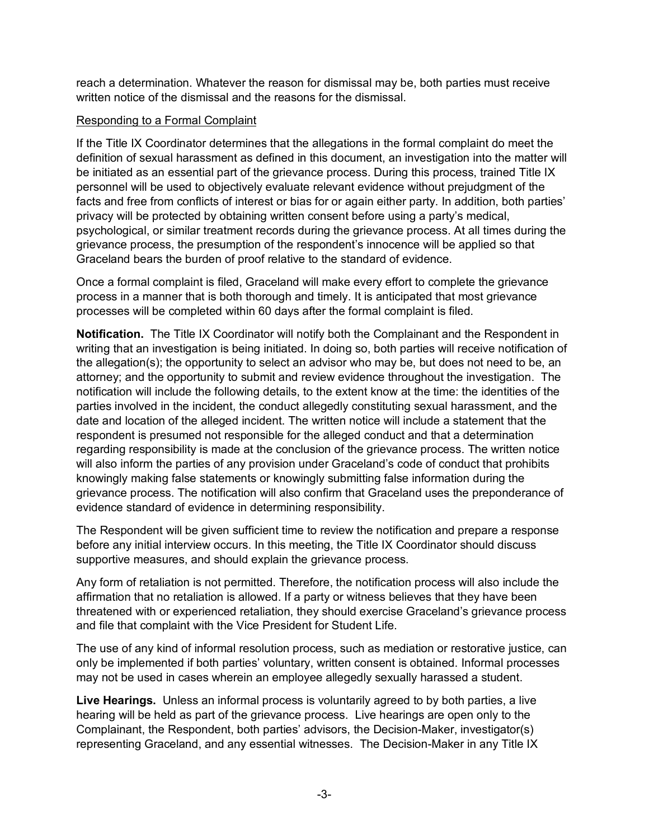reach a determination. Whatever the reason for dismissal may be, both parties must receive written notice of the dismissal and the reasons for the dismissal.

#### Responding to a Formal Complaint

If the Title IX Coordinator determines that the allegations in the formal complaint do meet the definition of sexual harassment as defined in this document, an investigation into the matter will be initiated as an essential part of the grievance process. During this process, trained Title IX personnel will be used to objectively evaluate relevant evidence without prejudgment of the facts and free from conflicts of interest or bias for or again either party. In addition, both parties' privacy will be protected by obtaining written consent before using a party's medical, psychological, or similar treatment records during the grievance process. At all times during the grievance process, the presumption of the respondent's innocence will be applied so that Graceland bears the burden of proof relative to the standard of evidence.

Once a formal complaint is filed, Graceland will make every effort to complete the grievance process in a manner that is both thorough and timely. It is anticipated that most grievance processes will be completed within 60 days after the formal complaint is filed.

**Notification.** The Title IX Coordinator will notify both the Complainant and the Respondent in writing that an investigation is being initiated. In doing so, both parties will receive notification of the allegation(s); the opportunity to select an advisor who may be, but does not need to be, an attorney; and the opportunity to submit and review evidence throughout the investigation. The notification will include the following details, to the extent know at the time: the identities of the parties involved in the incident, the conduct allegedly constituting sexual harassment, and the date and location of the alleged incident. The written notice will include a statement that the respondent is presumed not responsible for the alleged conduct and that a determination regarding responsibility is made at the conclusion of the grievance process. The written notice will also inform the parties of any provision under Graceland's code of conduct that prohibits knowingly making false statements or knowingly submitting false information during the grievance process. The notification will also confirm that Graceland uses the preponderance of evidence standard of evidence in determining responsibility.

The Respondent will be given sufficient time to review the notification and prepare a response before any initial interview occurs. In this meeting, the Title IX Coordinator should discuss supportive measures, and should explain the grievance process.

Any form of retaliation is not permitted. Therefore, the notification process will also include the affirmation that no retaliation is allowed. If a party or witness believes that they have been threatened with or experienced retaliation, they should exercise Graceland's grievance process and file that complaint with the Vice President for Student Life.

The use of any kind of informal resolution process, such as mediation or restorative justice, can only be implemented if both parties' voluntary, written consent is obtained. Informal processes may not be used in cases wherein an employee allegedly sexually harassed a student.

**Live Hearings.** Unless an informal process is voluntarily agreed to by both parties, a live hearing will be held as part of the grievance process. Live hearings are open only to the Complainant, the Respondent, both parties' advisors, the Decision-Maker, investigator(s) representing Graceland, and any essential witnesses. The Decision-Maker in any Title IX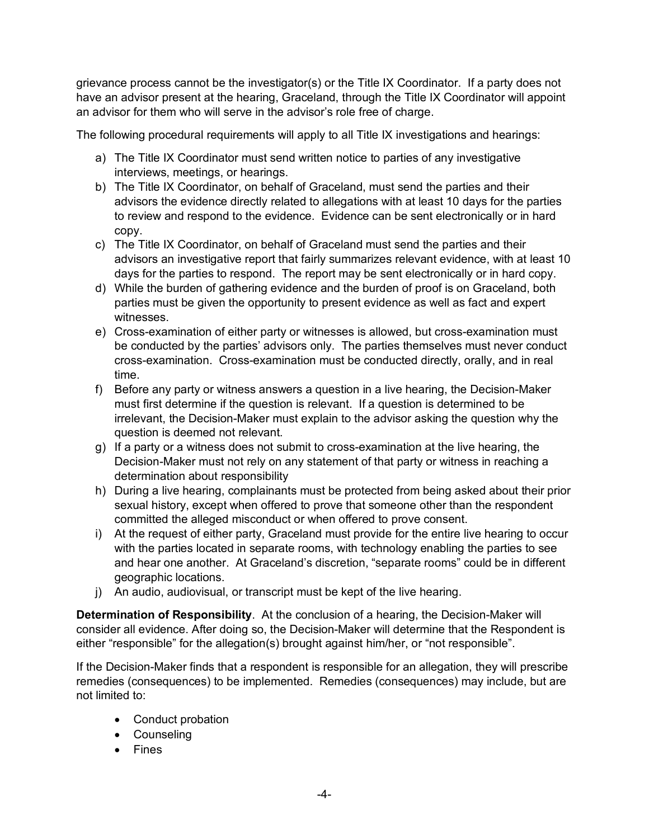grievance process cannot be the investigator(s) or the Title IX Coordinator. If a party does not have an advisor present at the hearing, Graceland, through the Title IX Coordinator will appoint an advisor for them who will serve in the advisor's role free of charge.

The following procedural requirements will apply to all Title IX investigations and hearings:

- a) The Title IX Coordinator must send written notice to parties of any investigative interviews, meetings, or hearings.
- b) The Title IX Coordinator, on behalf of Graceland, must send the parties and their advisors the evidence directly related to allegations with at least 10 days for the parties to review and respond to the evidence. Evidence can be sent electronically or in hard copy.
- c) The Title IX Coordinator, on behalf of Graceland must send the parties and their advisors an investigative report that fairly summarizes relevant evidence, with at least 10 days for the parties to respond. The report may be sent electronically or in hard copy.
- d) While the burden of gathering evidence and the burden of proof is on Graceland, both parties must be given the opportunity to present evidence as well as fact and expert witnesses.
- e) Cross-examination of either party or witnesses is allowed, but cross-examination must be conducted by the parties' advisors only. The parties themselves must never conduct cross-examination. Cross-examination must be conducted directly, orally, and in real time.
- f) Before any party or witness answers a question in a live hearing, the Decision-Maker must first determine if the question is relevant. If a question is determined to be irrelevant, the Decision-Maker must explain to the advisor asking the question why the question is deemed not relevant.
- g) If a party or a witness does not submit to cross-examination at the live hearing, the Decision-Maker must not rely on any statement of that party or witness in reaching a determination about responsibility
- h) During a live hearing, complainants must be protected from being asked about their prior sexual history, except when offered to prove that someone other than the respondent committed the alleged misconduct or when offered to prove consent.
- i) At the request of either party, Graceland must provide for the entire live hearing to occur with the parties located in separate rooms, with technology enabling the parties to see and hear one another. At Graceland's discretion, "separate rooms" could be in different geographic locations.
- j) An audio, audiovisual, or transcript must be kept of the live hearing.

**Determination of Responsibility**. At the conclusion of a hearing, the Decision-Maker will consider all evidence. After doing so, the Decision-Maker will determine that the Respondent is either "responsible" for the allegation(s) brought against him/her, or "not responsible".

If the Decision-Maker finds that a respondent is responsible for an allegation, they will prescribe remedies (consequences) to be implemented. Remedies (consequences) may include, but are not limited to:

- Conduct probation
- Counseling
- Fines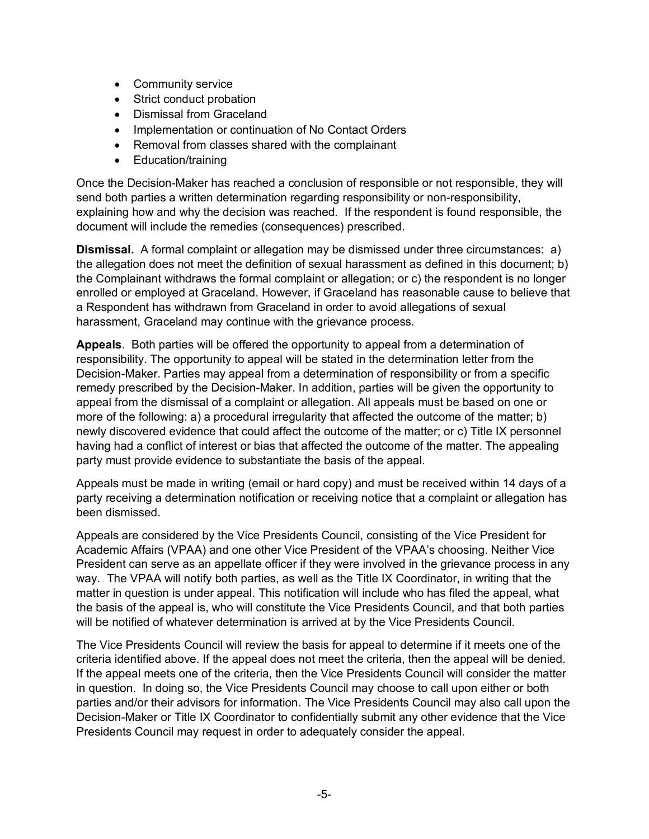- Community service
- Strict conduct probation
- Dismissal from Graceland
- Implementation or continuation of No Contact Orders
- Removal from classes shared with the complainant
- Education/training

Once the Decision-Maker has reached a conclusion of responsible or not responsible, they will send both parties a written determination regarding responsibility or non-responsibility, explaining how and why the decision was reached. If the respondent is found responsible, the document will include the remedies (consequences) prescribed.

**Dismissal.** A formal complaint or allegation may be dismissed under three circumstances: a) the allegation does not meet the definition of sexual harassment as defined in this document; b) the Complainant withdraws the formal complaint or allegation; or c) the respondent is no longer enrolled or employed at Graceland. However, if Graceland has reasonable cause to believe that a Respondent has withdrawn from Graceland in order to avoid allegations of sexual harassment, Graceland may continue with the grievance process.

**Appeals**. Both parties will be offered the opportunity to appeal from a determination of responsibility. The opportunity to appeal will be stated in the determination letter from the Decision-Maker. Parties may appeal from a determination of responsibility or from a specific remedy prescribed by the Decision-Maker. In addition, parties will be given the opportunity to appeal from the dismissal of a complaint or allegation. All appeals must be based on one or more of the following: a) a procedural irregularity that affected the outcome of the matter; b) newly discovered evidence that could affect the outcome of the matter; or c) Title IX personnel having had a conflict of interest or bias that affected the outcome of the matter. The appealing party must provide evidence to substantiate the basis of the appeal.

Appeals must be made in writing (email or hard copy) and must be received within 14 days of a party receiving a determination notification or receiving notice that a complaint or allegation has been dismissed.

Appeals are considered by the Vice Presidents Council, consisting of the Vice President for Academic Affairs (VPAA) and one other Vice President of the VPAA's choosing. Neither Vice President can serve as an appellate officer if they were involved in the grievance process in any way. The VPAA will notify both parties, as well as the Title IX Coordinator, in writing that the matter in question is under appeal. This notification will include who has filed the appeal, what the basis of the appeal is, who will constitute the Vice Presidents Council, and that both parties will be notified of whatever determination is arrived at by the Vice Presidents Council.

The Vice Presidents Council will review the basis for appeal to determine if it meets one of the criteria identified above. If the appeal does not meet the criteria, then the appeal will be denied. If the appeal meets one of the criteria, then the Vice Presidents Council will consider the matter in question. In doing so, the Vice Presidents Council may choose to call upon either or both parties and/or their advisors for information. The Vice Presidents Council may also call upon the Decision-Maker or Title IX Coordinator to confidentially submit any other evidence that the Vice Presidents Council may request in order to adequately consider the appeal.